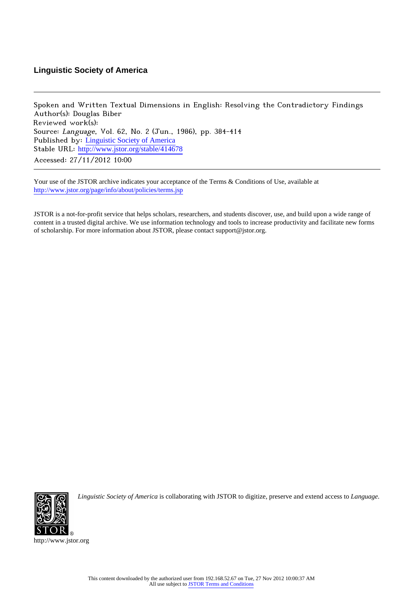# **Linguistic Society of America**

Spoken and Written Textual Dimensions in English: Resolving the Contradictory Findings Author(s): Douglas Biber Reviewed work(s): Source: Language, Vol. 62, No. 2 (Jun., 1986), pp. 384-414 Published by: [Linguistic Society of America](http://www.jstor.org/action/showPublisher?publisherCode=lsa) Stable URL: http://www.jstor.org/stable/414678 Accessed: 27/11/2012 10:00

Your use of the JSTOR archive indicates your acceptance of the Terms & Conditions of Use, available at <http://www.jstor.org/page/info/about/policies/terms.jsp>

JSTOR is a not-for-profit service that helps scholars, researchers, and students discover, use, and build upon a wide range of content in a trusted digital archive. We use information technology and tools to increase productivity and facilitate new forms of scholarship. For more information about JSTOR, please contact support@jstor.org.



*Linguistic Society of America* is collaborating with JSTOR to digitize, preserve and extend access to *Language.*

http://www.jstor.org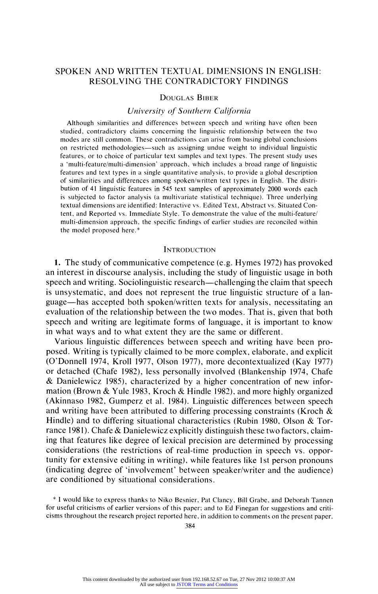## **SPOKEN AND WRITTEN TEXTUAL DIMENSIONS IN ENGLISH: RESOLVING THE CONTRADICTORY FINDINGS**

#### **DOUGLAS BIBER**

## **University of Southern California**

**Although similarities and differences between speech and writing have often been studied, contradictory claims concerning the linguistic relationship between the two modes are still common. These contradictions can arise from basing global conclusions on restricted methodologies-such as assigning undue weight to individual linguistic features, or to choice of particular text samples and text types. The present study uses a 'multi-feature/multi-dimension' approach, which includes a broad range of linguistic features and text types in a single quantitative analysis, to provide a global description of similarities and differences among spoken/written text types in English. The distribution of 41 linguistic features in 545 text samples of approximately 2000 words each is subjected to factor analysis (a multivariate statistical technique). Three underlying textual dimensions are identified: Interactive vs. Edited Text, Abstract vs. Situated Content, and Reported vs. Immediate Style. To demonstrate the value of the multi-feature/ multi-dimension approach, the specific findings of earlier studies are reconciled within the model proposed here.\*** 

#### **INTRODUCTION**

**1. The study of communicative competence (e.g. Hymes 1972) has provoked an interest in discourse analysis, including the study of linguistic usage in both speech and writing. Sociolinguistic research-challenging the claim that speech is unsystematic, and does not represent the true linguistic structure of a language-has accepted both spoken/written texts for analysis, necessitating an evaluation of the relationship between the two modes. That is, given that both speech and writing are legitimate forms of language, it is important to know in what ways and to what extent they are the same or different.** 

**Various linguistic differences between speech and writing have been proposed. Writing is typically claimed to be more complex, elaborate, and explicit (O'Donnell 1974, Kroll 1977, Olson 1977), more decontextualized (Kay 1977) or detached (Chafe 1982), less personally involved (Blankenship 1974, Chafe & Danielewicz 1985), characterized by a higher concentration of new information (Brown & Yule 1983, Kroch & Hindle 1982), and more highly organized (Akinnaso 1982, Gumperz et al. 1984). Linguistic differences between speech and writing have been attributed to differing processing constraints (Kroch & Hindle) and to differing situational characteristics (Rubin 1980, Olson & Torrance 1981). Chafe & Danielewicz explicitly distinguish these two factors, claiming that features like degree of lexical precision are determined by processing considerations (the restrictions of real-time production in speech vs. opportunity for extensive editing in writing), while features like 1st person pronouns (indicating degree of 'involvement' between speaker/writer and the audience) are conditioned by situational considerations.** 

**\* I would like to express thanks to Niko Besnier, Pat Clancy, Bill Grabe, and Deborah Tannen for useful criticisms of earlier versions of this paper; and to Ed Finegan for suggestions and criticisms throughout the research project reported here, in addition to comments on the present paper.**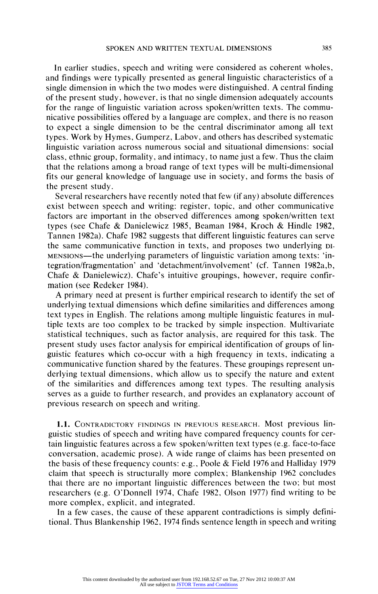**In earlier studies, speech and writing were considered as coherent wholes, and findings were typically presented as general linguistic characteristics of a single dimension in which the two modes were distinguished. A central finding of the present study, however, is that no single dimension adequately accounts for the range of linguistic variation across spoken/written texts. The communicative possibilities offered by a language are complex, and there is no reason to expect a single dimension to be the central discriminator among all text types. Work by Hymes, Gumperz, Labov, and others has described systematic linguistic variation across numerous social and situational dimensions: social class, ethnic group, formality, and intimacy, to name just a few. Thus the claim that the relations among a broad range of text types will be multi-dimensional fits our general knowledge of language use in society, and forms the basis of the present study.** 

**Several researchers have recently noted that few (if any) absolute differences exist between speech and writing: register, topic, and other communicative factors are important in the observed differences among spoken/written text types (see Chafe & Danielewicz 1985, Beaman 1984, Kroch & Hindle 1982, Tannen 1982a). Chafe 1982 suggests that different linguistic features can serve the same communicative function in texts, and proposes two underlying DI-MENSIONS-the underlying parameters of linguistic variation among texts: 'integration/fragmentation' and 'detachment/involvement' (cf. Tannen 1982a,b, Chafe & Danielewicz). Chafe's intuitive groupings, however, require confirmation (see Redeker 1984).** 

**A primary need at present is further empirical research to identify the set of underlying textual dimensions which define similarities and differences among text types in English. The relations among multiple linguistic features in multiple texts are too complex to be tracked by simple inspection. Multivariate statistical techniques, such as factor analysis, are required for this task. The present study uses factor analysis for empirical identification of groups of linguistic features which co-occur with a high frequency in texts, indicating a communicative function shared by the features. These groupings represent underlying textual dimensions, which allow us to specify the nature and extent of the similarities and differences among text types. The resulting analysis serves as a guide to further research, and provides an explanatory account of previous research on speech and writing.** 

**1.1. CONTRADICTORY FINDINGS IN PREVIOUS RESEARCH. Most previous linguistic studies of speech and writing have compared frequency counts for certain linguistic features across a few spoken/written text types (e.g. face-to-face conversation, academic prose). A wide range of claims has been presented on the basis of these frequency counts: e.g., Poole & Field 1976 and Halliday 1979 claim that speech is structurally more complex; Blankenship 1962 concludes that there are no important linguistic differences between the two; but most researchers (e.g. O'Donnell 1974, Chafe 1982, Olson 1977) find writing to be more complex, explicit, and integrated.** 

**In a few cases, the cause of these apparent contradictions is simply definitional. Thus Blankenship 1962, 1974 finds sentence length in speech and writing**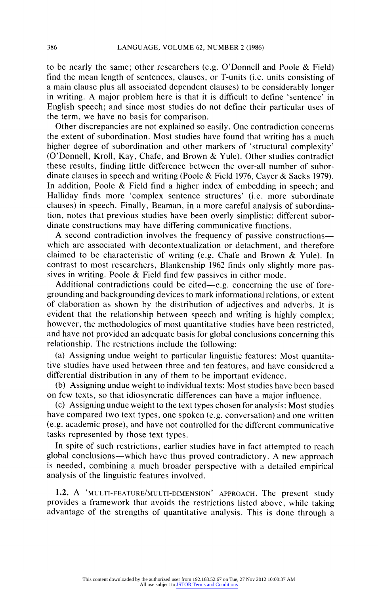**to be nearly the same; other researchers (e.g. O'Donnell and Poole & Field) find the mean length of sentences, clauses, or T-units (i.e. units consisting of a main clause plus all associated dependent clauses) to be considerably longer in writing. A major problem here is that it is difficult to define 'sentence' in English speech; and since most studies do not define their particular uses of the term, we have no basis for comparison.** 

**Other discrepancies are not explained so easily. One contradiction concerns the extent of subordination. Most studies have found that writing has a much higher degree of subordination and other markers of 'structural complexity' (O'Donnell, Kroll, Kay, Chafe, and Brown & Yule). Other studies contradict these results, finding little difference between the over-all number of subordinate clauses in speech and writing (Poole & Field 1976, Cayer & Sacks 1979). In addition, Poole & Field find a higher index of embedding in speech; and Halliday finds more 'complex sentence structures' (i.e. more subordinate clauses) in speech. Finally, Beaman, in a more careful analysis of subordination, notes that previous studies have been overly simplistic: different subordinate constructions may have differing communicative functions.** 

**A second contradiction involves the frequency of passive constructionswhich are associated with decontextualization or detachment, and therefore claimed to be characteristic of writing (e.g. Chafe and Brown & Yule). In contrast to most researchers, Blankenship 1962 finds only slightly more passives in writing. Poole & Field find few passives in either mode.** 

Additional contradictions could be cited-e.g. concerning the use of fore**grounding and backgrounding devices to mark informational relations, or extent of elaboration as shown by the distribution of adjectives and adverbs. It is evident that the relationship between speech and writing is highly complex; however, the methodologies of most quantitative studies have been restricted, and have not provided an adequate basis for global conclusions concerning this relationship. The restrictions include the following:** 

**(a) Assigning undue weight to particular linguistic features: Most quantitative studies have used between three and ten features, and have considered a differential distribution in any of them to be important evidence.** 

**(b) Assigning undue weight to individual texts: Most studies have been based on few texts, so that idiosyncratic differences can have a major influence.** 

**(c) Assigning undue weight to the text types chosen for analysis: Most studies have compared two text types, one spoken (e.g. conversation) and one written (e.g. academic prose), and have not controlled for the different communicative tasks represented by those text types.** 

**In spite of such restrictions, earlier studies have in fact attempted to reach global conclusions-which have thus proved contradictory. A new approach is needed, combining a much broader perspective with a detailed empirical analysis of the linguistic features involved.** 

**1.2. A 'MULTI-FEATURE/MULTI-DIMENSION' APPROACH. The present study provides a framework that avoids the restrictions listed above, while taking advantage of the strengths of quantitative analysis. This is done through a**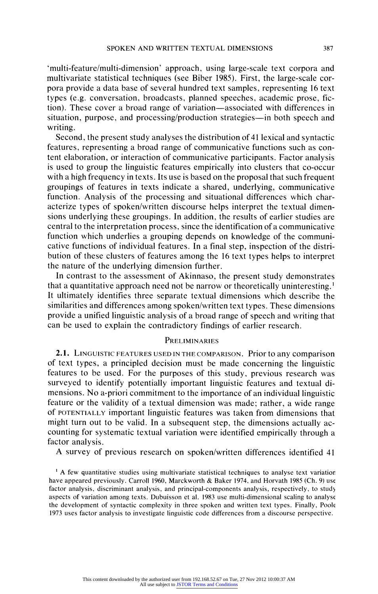**'multi-feature/multi-dimension' approach, using large-scale text corpora and multivariate statistical techniques (see Biber 1985). First, the large-scale corpora provide a data base of several hundred text samples, representing 16 text types (e.g. conversation, broadcasts, planned speeches, academic prose, fiction). These cover a broad range of variation-associated with differences in situation, purpose, and processing/production strategies-in both speech and writing.** 

**Second, the present study analyses the distribution of 41 lexical and syntactic features, representing a broad range of communicative functions such as content elaboration, or interaction of communicative participants. Factor analysis is used to group the linguistic features empirically into clusters that co-occur with a high frequency in texts. Its use is based on the proposal that such frequent groupings of features in texts indicate a shared, underlying, communicative function. Analysis of the processing and situational differences which characterize types of spoken/written discourse helps interpret the textual dimensions underlying these groupings. In addition, the results of earlier studies are central to the interpretation process, since the identification of a communicative function which underlies a grouping depends on knowledge of the communicative functions of individual features. In a final step, inspection of the distribution of these clusters of features among the 16 text types helps to interpret the nature of the underlying dimension further.** 

**In contrast to the assessment of Akinnaso, the present study demonstrates**  that a quantitative approach need not be narrow or theoretically uninteresting.<sup>1</sup> **It ultimately identifies three separate textual dimensions which describe the similarities and differences among spoken/written text types. These dimensions provide a unified linguistic analysis of a broad range of speech and writing that can be used to explain the contradictory findings of earlier research.** 

## **PRELIMINARIES**

**2.1. LINGUISTIC FEATURES USED IN THE COMPARISON. Prior to any comparison of text types, a principled decision must be made concerning the linguistic features to be used. For the purposes of this study, previous research was surveyed to identify potentially important linguistic features and textual dimensions. No a-priori commitment to the importance of an individual linguistic feature or the validity of a textual dimension was made; rather, a wide range of POTENTIALLY important linguistic features was taken from dimensions that might turn out to be valid. In a subsequent step, the dimensions actually accounting for systematic textual variation were identified empirically through a factor analysis.** 

**A survey of previous research on spoken/written differences identified 41** 

**1 A few quantitative studies using multivariate statistical techniques to analyse text variation have appeared previously. Carroll 1960, Marckworth & Baker 1974, and Horvath 1985 (Ch. 9) use**  factor analysis, discriminant analysis, and principal-components analysis, respectively, to study **aspects of variation among texts. Dubuisson et al. 1983 use multi-dimensional scaling to analyse the development of syntactic complexity in three spoken and written text types. Finally, Poole 1973 uses factor analysis to investigate linguistic code differences from a discourse perspective.**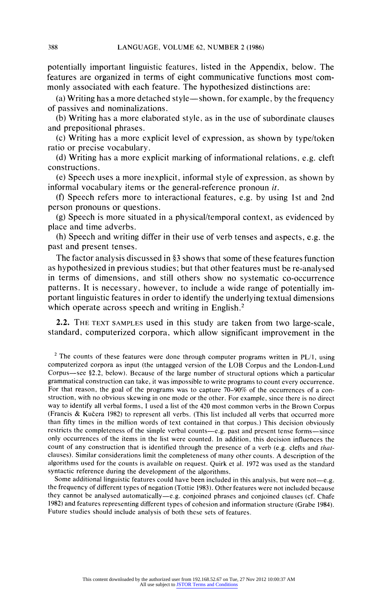**potentially important linguistic features, listed in the Appendix, below. The features are organized in terms of eight communicative functions most commonly associated with each feature. The hypothesized distinctions are:** 

**(a) Writing has a more detached style-shown, for example, by the frequency of passives and nominalizations.** 

**(b) Writing has a more elaborated style, as in the use of subordinate clauses and prepositional phrases.** 

**(c) Writing has a more explicit level of expression, as shown by type/token ratio or precise vocabulary.** 

**(d) Writing has a more explicit marking of informational relations, e.g. cleft constructions.** 

**(e) Speech uses a more inexplicit, informal style of expression, as shown by informal vocabulary items or the general-reference pronoun it.** 

**(f) Speech refers more to interactional features, e.g. by using 1st and 2nd person pronouns or questions.** 

**(g) Speech is more situated in a physical/temporal context, as evidenced by place and time adverbs.** 

**(h) Speech and writing differ in their use of verb tenses and aspects, e.g. the past and present tenses.** 

The factor analysis discussed in §3 shows that some of these features function **as hypothesized in previous studies; but that other features must be re-analysed in terms of dimensions, and still others show no systematic co-occurrence patterns. It is necessary, however, to include a wide range of potentially important linguistic features in order to identify the underlying textual dimensions which operate across speech and writing in English.2** 

**2.2. THE TEXT SAMPLES used in this study are taken from two large-scale, standard, computerized corpora, which allow significant improvement in the** 

Some additional linguistic features could have been included in this analysis, but were not-e.g. **the frequency of different types of negation (Tottie 1983). Other features were not included because they cannot be analysed automatically-e.g. conjoined phrases and conjoined clauses (cf. Chafe 1982) and features representing different types of cohesion and information structure (Grabe 1984). Future studies should include analysis of both these sets of features.** 

**<sup>2</sup>The counts of these features were done through computer programs written in PL/I, using computerized corpora as input (the untagged version of the LOB Corpus and the London-Lund Corpus-see ?2.2, below). Because of the large number of structural options which a particular grammatical construction can take, it was impossible to write programs to count every occurrence.**  For that reason, the goal of the programs was to capture 70–90% of the occurrences of a con**struction, with no obvious skewing in one mode or the other. For example, since there is no direct way to identify all verbal forms, I used a list of the 420 most common verbs in the Brown Corpus**  (Francis & Kučera 1982) to represent all verbs. (This list included all verbs that occurred more **than fifty times in the million words of text contained in that corpus.) This decision obviously restricts the completeness of the simple verbal counts-e.g. past and present tense forms-since only occurrences of the items in the list were counted. In addition, this decision influences the count of any construction that is identified through the presence of a verb (e.g. clefts and thatclauses). Similar considerations limit the completeness of many other counts. A description of the algorithms used for the counts is available on request. Quirk et al. 1972 was used as the standard syntactic reference during the development of the algorithms.**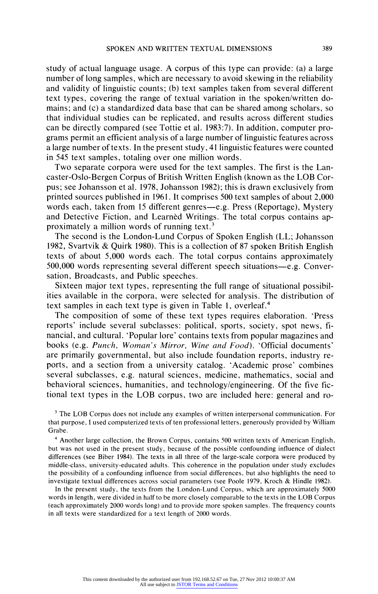**study of actual language usage. A corpus of this type can provide: (a) a large number of long samples, which are necessary to avoid skewing in the reliability and validity of linguistic counts; (b) text samples taken from several different text types, covering the range of textual variation in the spoken/written domains; and (c) a standardized data base that can be shared among scholars, so that individual studies can be replicated, and results across different studies can be directly compared (see Tottie et al. 1983:7). In addition, computer programs permit an efficient analysis of a large number of linguistic features across a large number of texts. In the present study, 41 linguistic features were counted in 545 text samples, totaling over one million words.** 

**Two separate corpora were used for the text samples. The first is the Lancaster-Oslo-Bergen Corpus of British Written English (known as the LOB Corpus; see Johansson et al. 1978, Johansson 1982); this is drawn exclusively from printed sources published in 1961. It comprises 500 text samples of about 2,000**  words each, taken from 15 different genres-e.g. Press (Reportage), Mystery **and Detective Fiction, and Learned Writings. The total corpus contains approximately a million words of running text.3** 

**The second is the London-Lund Corpus of Spoken English (LL; Johansson 1982, Svartvik & Quirk 1980). This is a collection of 87 spoken British English texts of about 5,000 words each. The total corpus contains approximately 500,000 words representing several different speech situations-e.g. Conversation, Broadcasts, and Public speeches.** 

**Sixteen major text types, representing the full range of situational possibilities available in the corpora, were selected for analysis. The distribution of text samples in each text type is given in Table 1, overleaf.4** 

**The composition of some of these text types requires elaboration. 'Press reports' include several subclasses: political, sports, society, spot news, financial, and cultural. 'Popular lore' contains texts from popular magazines and books (e.g. Punch, Woman's Mirror, Wine and Food). 'Official documents' are primarily governmental, but also include foundation reports, industry reports, and a section from a university catalog. 'Academic prose' combines several subclasses, e.g. natural sciences, medicine, mathematics, social and behavioral sciences, humanities, and technology/engineering. Of the five fictional text types in the LOB corpus, two are included here: general and ro-**

**3 The LOB Corpus does not include any examples of written interpersonal communication. For that purpose, I used computerized texts often professional letters, generously provided by William Grabe.** 

**4 Another large collection, the Brown Corpus, contains 500 written texts of American English, but was not used in the present study, because of the possible confounding influence of dialect differences (see Biber 1984). The texts in all three of the large-scale corpora were produced by middle-class, university-educated adults. This coherence in the population under study excludes the possibility of a confounding influence from social differences, but also highlights the need to investigate textual differences across social parameters (see Poole 1979, Kroch & Hindle 1982).** 

**In the present study, the texts from the London-Lund Corpus, which are approximately 5000 words in length, were divided in half to be more closely comparable to the texts in the LOB Corpus (each approximately 2000 words long) and to provide more spoken samples. The frequency counts in all texts were standardized for a text length of 2000 words.**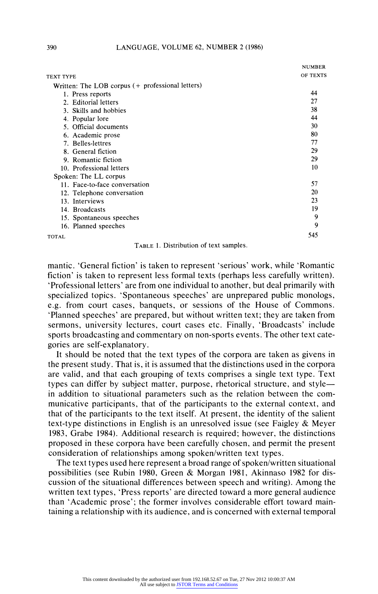|                                                     | <b>NUMBER</b> |
|-----------------------------------------------------|---------------|
| TEXT TYPE                                           | OF TEXTS      |
| Written: The LOB corpus $(+)$ professional letters) |               |
| 1. Press reports                                    | 44            |
| 2. Editorial letters                                | 27            |
| 3. Skills and hobbies                               | 38            |
| 4. Popular lore                                     | 44            |
| 5. Official documents                               | 30            |
| 6. Academic prose                                   | 80            |
| 7. Belles-lettres                                   | 77            |
| 8. General fiction                                  | 29            |
| 9. Romantic fiction                                 | 29            |
| 10. Professional letters                            | 10            |
| Spoken: The LL corpus                               |               |
| 11. Face-to-face conversation                       | 57            |
| 12. Telephone conversation                          | 20            |
| 13. Interviews                                      | 23            |
| 14. Broadcasts                                      | 19            |
| 15. Spontaneous speeches                            | 9             |
| 16. Planned speeches                                | 9             |
| <b>TOTAL</b>                                        | 545           |
|                                                     |               |

**TABLE 1. Distribution of text samples.** 

**mantic. 'General fiction' is taken to represent 'serious' work, while 'Romantic fiction' is taken to represent less formal texts (perhaps less carefully written). 'Professional letters' are from one individual to another, but deal primarily with specialized topics. 'Spontaneous speeches' are unprepared public monologs, e.g. from court cases, banquets, or sessions of the House of Commons. 'Planned speeches' are prepared, but without written text; they are taken from sermons, university lectures, court cases etc. Finally, 'Broadcasts' include sports broadcasting and commentary on non-sports events. The other text categories are self-explanatory.** 

**It should be noted that the text types of the corpora are taken as givens in the present study. That is, it is assumed that the distinctions used in the corpora are valid, and that each grouping of texts comprises a single text type. Text types can differ by subject matter, purpose, rhetorical structure, and stylein addition to situational parameters such as the relation between the communicative participants, that of the participants to the external context, and that of the participants to the text itself. At present, the identity of the salient text-type distinctions in English is an unresolved issue (see Faigley & Meyer 1983, Grabe 1984). Additional research is required; however, the distinctions proposed in these corpora have been carefully chosen, and permit the present consideration of relationships among spoken/written text types.** 

**The text types used here represent a broad range of spoken/written situational possibilities (see Rubin 1980, Green & Morgan 1981, Akinnaso 1982 for discussion of the situational differences between speech and writing). Among the written text types, 'Press reports' are directed toward a more general audience than 'Academic prose'; the former involves considerable effort toward maintaining a relationship with its audience, and is concerned with external temporal** 

**390**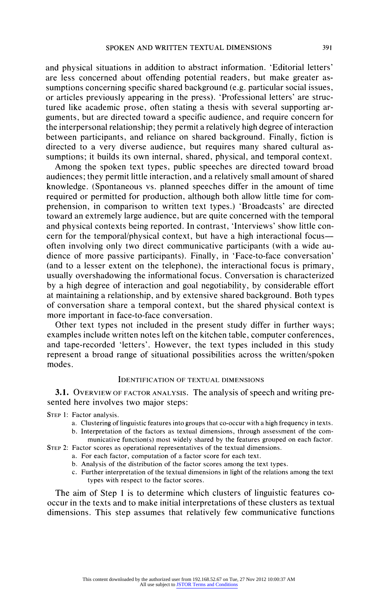**and physical situations in addition to abstract information. 'Editorial letters' are less concerned about offending potential readers, but make greater assumptions concerning specific shared background (e.g. particular social issues, or articles previously appearing in the press). 'Professional letters' are structured like academic prose, often stating a thesis with several supporting arguments, but are directed toward a specific audience, and require concern for the interpersonal relationship; they permit a relatively high degree of interaction between participants, and reliance on shared background. Finally, fiction is directed to a very diverse audience, but requires many shared cultural assumptions; it builds its own internal, shared, physical, and temporal context.** 

**Among the spoken text types, public speeches are directed toward broad audiences; they permit little interaction, and a relatively small amount of shared knowledge. (Spontaneous vs. planned speeches differ in the amount of time required or permitted for production, although both allow little time for comprehension, in comparison to written text types.) 'Broadcasts' are directed toward an extremely large audience, but are quite concerned with the temporal and physical contexts being reported. In contrast, 'Interviews' show little concern for the temporal/physical context, but have a high interactional focusoften involving only two direct communicative participants (with a wide audience of more passive participants). Finally, in 'Face-to-face conversation' (and to a lesser extent on the telephone), the interactional focus is primary, usually overshadowing the informational focus. Conversation is characterized by a high degree of interaction and goal negotiability, by considerable effort at maintaining a relationship, and by extensive shared background. Both types of conversation share a temporal context, but the shared physical context is more important in face-to-face conversation.** 

**Other text types not included in the present study differ in further ways; examples include written notes left on the kitchen table, computer conferences, and tape-recorded 'letters'. However, the text types included in this study represent a broad range of situational possibilities across the written/spoken modes.** 

## **IDENTIFICATION OF TEXTUAL DIMENSIONS**

**3.1. OVERVIEW OF FACTOR ANALYSIS. The analysis of speech and writing presented here involves two major steps:** 

**STEP 1: Factor analysis.** 

- **a. Clustering of linguistic features into groups that co-occur with a high frequency in texts.**
- **b. Interpretation of the factors as textual dimensions, through assessment of the com-**
- **municative function(s) most widely shared by the features grouped on each factor. STEP 2: Factor scores as operational representatives of the textual dimensions.** 
	- **a. For each factor, computation of a factor score for each text.**
	- **b. Analysis of the distribution of the factor scores among the text types.**
	- **c. Further interpretation of the textual dimensions in light of the relations among the text types with respect to the factor scores.**

**The aim of Step 1 is to determine which clusters of linguistic features cooccur in the texts and to make initial interpretations of these clusters as textual dimensions. This step assumes that relatively few communicative functions**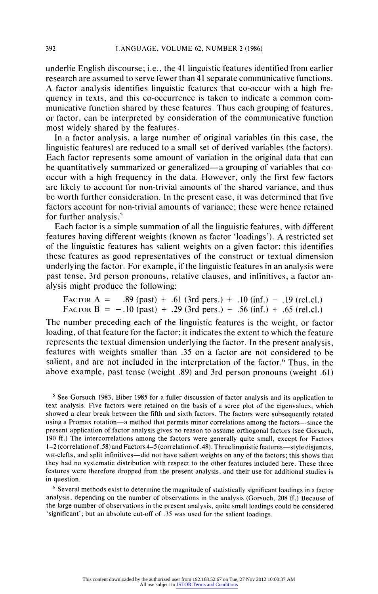**underlie English discourse; i.e., the 41 linguistic features identified from earlier research are assumed to serve fewer than 41 separate communicative functions. A factor analysis identifies linguistic features that co-occur with a high frequency in texts, and this co-occurrence is taken to indicate a common communicative function shared by these features. Thus each grouping of features, or factor, can be interpreted by consideration of the communicative function most widely shared by the features.** 

**In a factor analysis, a large number of original variables (in this case, the linguistic features) are reduced to a small set of derived variables (the factors). Each factor represents some amount of variation in the original data that can**  be quantitatively summarized or generalized—a grouping of variables that co**occur with a high frequency in the data. However, only the first few factors are likely to account for non-trivial amounts of the shared variance, and thus be worth further consideration. In the present case, it was determined that five factors account for non-trivial amounts of variance; these were hence retained for further analysis.5** 

**Each factor is a simple summation of all the linguistic features, with different features having different weights (known as factor 'loadings'). A restricted set of the linguistic features has salient weights on a given factor; this identifies these features as good representatives of the construct or textual dimension underlying the factor. For example, if the linguistic features in an analysis were past tense, 3rd person pronouns, relative clauses, and infinitives, a factor analysis might produce the following:** 

**FACTOR A = .89 (past) + .61 (3rd pers.) + .10 (inf.) - .19 (rel.cl.)** FACTOR B =  $-.10$  (past) + .29 (3rd pers.) + .56 (inf.) + .65 (rel.cl.)

**The number preceding each of the linguistic features is the weight, or factor loading, of that feature for the factor; it indicates the extent to which the feature represents the textual dimension underlying the factor. In the present analysis, features with weights smaller than .35 on a factor are not considered to be salient, and are not included in the interpretation of the factor.6 Thus, in the above example, past tense (weight .89) and 3rd person pronouns (weight .61)** 

**5 See Gorsuch 1983, Biber 1985 for a fuller discussion of factor analysis and its application to text analysis. Five factors were retained on the basis of a scree plot of the eigenvalues, which showed a clear break between the fifth and sixth factors. The factors were subsequently rotated using a Promax rotation-a method that permits minor correlations among the factors-since the present application of factor analysis gives no reason to assume orthogonal factors (see Gorsuch, 190 ff.) The intercorrelations among the factors were generally quite small, except for Factors 1-2 (correlation of .58) and Factors 4-5 (correlation of .48). Three linguistic features-style disjuncts,**  wh-clefts, and split infinitives—did not have salient weights on any of the factors; this shows that **they had no systematic distribution with respect to the other features included here. These three features were therefore dropped from the present analysis, and their use for additional studies is in question.** 

**<sup>6</sup>Several methods exist to determine the magnitude of statistically significant loadings in a factor analysis, depending on the number of observations in the analysis (Gorsuch, 208 ff.) Because of the large number of observations in the present analysis, quite small loadings could be considered 'significant'; but an absolute cut-off of .35 was used for the salient loadings.**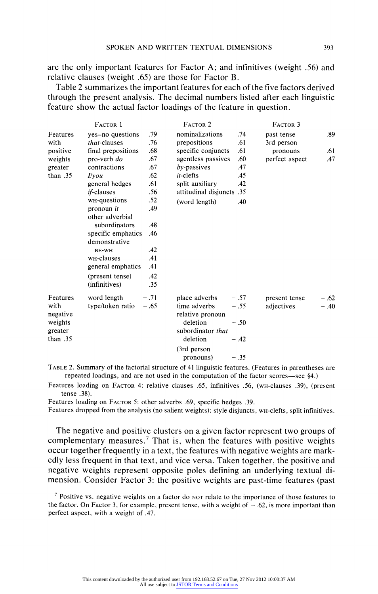**are the only important features for Factor A; and infinitives (weight .56) and relative clauses (weight .65) are those for Factor B.** 

**Table 2 summarizes the important features for each of the five factors derived through the present analysis. The decimal numbers listed after each linguistic feature show the actual factor loadings of the feature in question.** 

|                  | FACTOR 1                         |            | FACTOR <sub>2</sub>             |            | FACTOR <sub>3</sub>      |        |
|------------------|----------------------------------|------------|---------------------------------|------------|--------------------------|--------|
| Features<br>with | yes-no questions<br>that-clauses | .79<br>.76 | nominalizations<br>prepositions | .74<br>.61 | past tense<br>3rd person | .89    |
| positive         | final prepositions               | .68        | specific conjuncts              | .61        | pronouns                 | .61    |
| weights          | $pro-verb$ do                    | .67        | agentless passives              | .60        | perfect aspect           | .47    |
| greater          | contractions                     | .67        | by-passives                     | .47        |                          |        |
| than.35          | $I$ /you                         | .62        | it clefts                       | .45        |                          |        |
|                  | general hedges                   | .61        | split auxiliary                 | .42        |                          |        |
|                  | <i>if-clauses</i>                | .56        | attitudinal disjuncts .35       |            |                          |        |
|                  | WH-questions                     | .52        | (word length)                   | .40        |                          |        |
|                  | pronoun it                       | .49        |                                 |            |                          |        |
|                  | other adverbial                  |            |                                 |            |                          |        |
|                  | subordinators                    | .48        |                                 |            |                          |        |
|                  | specific emphatics               | .46        |                                 |            |                          |        |
|                  | demonstrative                    |            |                                 |            |                          |        |
|                  | <b>BE-WH</b>                     | .42        |                                 |            |                          |        |
|                  | w <sub>H</sub> -clauses          | .41        |                                 |            |                          |        |
|                  | general emphatics                | .41        |                                 |            |                          |        |
|                  | (present tense)                  | .42        |                                 |            |                          |        |
|                  | (infinitives)                    | .35        |                                 |            |                          |        |
| Features         | word length                      | $-.71$     | place adverbs                   | $-.57$     | present tense            | $-.62$ |
| with             | type/token ratio                 | $-.65$     | time adverbs                    | $-.55$     | adjectives               | $-.40$ |
| negative         |                                  |            | relative pronoun                |            |                          |        |
| weights          |                                  |            | deletion                        | $-.50$     |                          |        |
| greater          |                                  |            | subordinator that               |            |                          |        |
| than .35         |                                  |            | deletion                        | $-.42$     |                          |        |
|                  |                                  |            | (3rd person                     |            |                          |        |
|                  |                                  |            | pronouns)                       | $-.35$     |                          |        |

**TABLE 2. Summary of the factorial structure of 41 linguistic features. (Features in parentheses are**  repeated loadings, and are not used in the computation of the factor scores—see §4.)

Features loading on FACTOR 4: relative clauses .65, infinitives .56, (wH-clauses .39), (present **tense .38).** 

**Features loading on FACTOR 5: other adverbs .69, specific hedges .39.** 

Features dropped from the analysis (no salient weights): style disjuncts, wH-clefts, split infinitives.

**The negative and positive clusters on a given factor represent two groups of complementary measures.7 That is, when the features with positive weights occur together frequently in a text, the features with negative weights are markedly less frequent in that text, and vice versa. Taken together, the positive and negative weights represent opposite poles defining an underlying textual dimension. Consider Factor 3: the positive weights are past-time features (past** 

**<sup>7</sup>Positive vs. negative weights on a factor do NOTr relate to the importance of those features to**  the factor. On Factor 3, for example, present tense, with a weight of  $-.62$ , is more important than **perfect aspect, with a weight of .47.**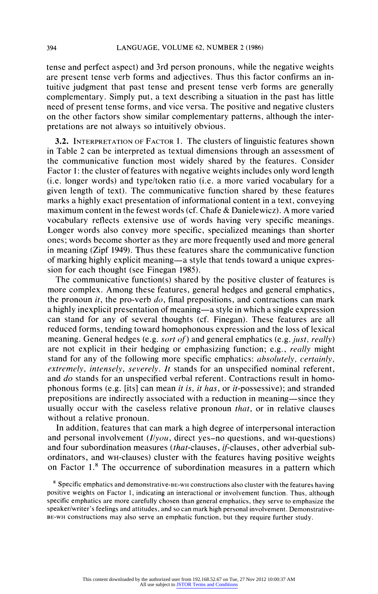**tense and perfect aspect) and 3rd person pronouns, while the negative weights are present tense verb forms and adjectives. Thus this factor confirms an intuitive judgment that past tense and present tense verb forms are generally complementary. Simply put, a text describing a situation in the past has little need of present tense forms, and vice versa. The positive and negative clusters on the other factors show similar complementary patterns, although the interpretations are not always so intuitively obvious.** 

**3.2. INTERPRETATION OF FACTOR 1. The clusters of linguistic features shown in Table 2 can be interpreted as textual dimensions through an assessment of the communicative function most widely shared by the features. Consider Factor 1: the cluster of features with negative weights includes only word length (i.e. longer words) and type/token ratio (i.e. a more varied vocabulary for a given length of text). The communicative function shared by these features marks a highly exact presentation of informational content in a text, conveying maximum content in the fewest words (cf. Chafe & Danielewicz). A more varied vocabulary reflects extensive use of words having very specific meanings. Longer words also convey more specific, specialized meanings than shorter ones; words become shorter as they are more frequently used and more general in meaning (Zipf 1949). Thus these features share the communicative function of marking highly explicit meaning-a style that tends toward a unique expression for each thought (see Finegan 1985).** 

**The communicative function(s) shared by the positive cluster of features is more complex. Among these features, general hedges and general emphatics, the pronoun it, the pro-verb do, final prepositions, and contractions can mark a highly inexplicit presentation of meaning-a style in which a single expression can stand for any of several thoughts (cf. Finegan). These features are all reduced forms, tending toward homophonous expression and the loss of lexical meaning. General hedges (e.g. sort of) and general emphatics (e.g. just, really) are not explicit in their hedging or emphasizing function; e.g., really might stand for any of the following more specific emphatics: absolutely, certainly, extremely, intensely, severely. It stands for an unspecified nominal referent, and do stands for an unspecified verbal referent. Contractions result in homophonous forms (e.g. [its] can mean it is, it has, or it-possessive); and stranded prepositions are indirectly associated with a reduction in meaning-since they usually occur with the caseless relative pronoun that, or in relative clauses without a relative pronoun.** 

**In addition, features that can mark a high degree of interpersonal interaction**  and personal involvement (*I/you*, direct yes–no questions, and wH-questions) **and four subordination measures (that-clauses, if-clauses, other adverbial subordinators, and wH-clauses) cluster with the features having positive weights on Factor 1.8 The occurrence of subordination measures in a pattern which** 

<sup>8</sup> Specific emphatics and demonstrative-BE-wH constructions also cluster with the features having **positive weights on Factor 1, indicating an interactional or involvement function. Thus, although specific emphatics are more carefully chosen than general emphatics, they serve to emphasize the speaker/writer's feelings and attitudes, and so can mark high personal involvement. Demonstrative-BE-WH constructions may also serve an emphatic function, but they require further study.**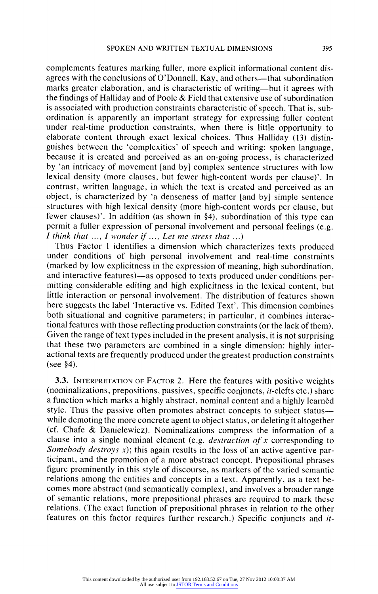**complements features marking fuller, more explicit informational content disagrees with the conclusions of O'Donnell, Kay, and others-that subordination**  marks greater elaboration, and is characteristic of writing-but it agrees with **the findings of Halliday and of Poole & Field that extensive use of subordination is associated with production constraints characteristic of speech. That is, subordination is apparently an important strategy for expressing fuller content under real-time production constraints, when there is little opportunity to elaborate content through exact lexical choices. Thus Halliday (13) distinguishes between the 'complexities' of speech and writing: spoken language, because it is created and perceived as an on-going process, is characterized by 'an intricacy of movement [and by] complex sentence structures with low lexical density (more clauses, but fewer high-content words per clause)'. In contrast, written language, in which the text is created and perceived as an object, is characterized by 'a denseness of matter [and by] simple sentence structures with high lexical density (more high-content words per clause, but**  fewer clauses)'. In addition (as shown in §4), subordination of this type can **permit a fuller expression of personal involvement and personal feelings (e.g. I think that ..., I wonder if ..., Let me stress that ...)** 

**Thus Factor 1 identifies a dimension which characterizes texts produced under conditions of high personal involvement and real-time constraints (marked by low explicitness in the expression of meaning, high subordination,**  and interactive features)—as opposed to texts produced under conditions per**mitting considerable editing and high explicitness in the lexical content, but little interaction or personal involvement. The distribution of features shown here suggests the label 'Interactive vs. Edited Text'. This dimension combines both situational and cognitive parameters; in particular, it combines interactional features with those reflecting production constraints (or the lack of them). Given the range of text types included in the present analysis, it is not surprising that these two parameters are combined in a single dimension: highly interactional texts are frequently produced under the greatest production constraints (see ?4).** 

**3.3. INTERPRETATION OF FACTOR 2. Here the features with positive weights (nominalizations, prepositions, passives, specific conjuncts, it-clefts etc.) share a function which marks a highly abstract, nominal content and a highly learned style. Thus the passive often promotes abstract concepts to subject statuswhile demoting the more concrete agent to object status, or deleting it altogether (cf. Chafe & Danielewicz). Nominalizations compress the information of a clause into a single nominal element (e.g. destruction of x corresponding to Somebody destroys x); this again results in the loss of an active agentive participant, and the promotion of a more abstract concept. Prepositional phrases figure prominently in this style of discourse, as markers of the varied semantic relations among the entities and concepts in a text. Apparently, as a text becomes more abstract (and semantically complex), and involves a broader range of semantic relations, more prepositional phrases are required to mark these relations. (The exact function of prepositional phrases in relation to the other features on this factor requires further research.) Specific conjuncts and it-**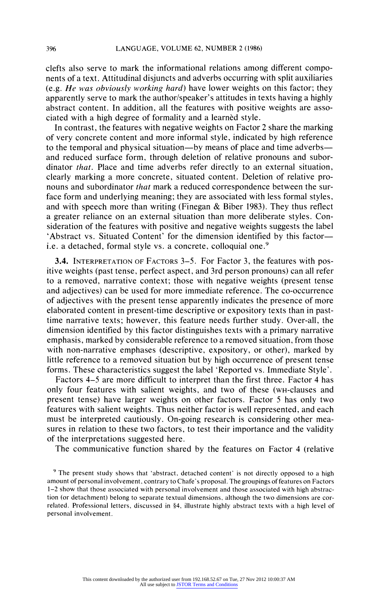**clefts also serve to mark the informational relations among different components of a text. Attitudinal disjuncts and adverbs occurring with split auxiliaries (e.g. He was obviously working hard) have lower weights on this factor; they apparently serve to mark the author/speaker's attitudes in texts having a highly abstract content. In addition, all the features with positive weights are associated with a high degree of formality and a learned style.** 

**In contrast, the features with negative weights on Factor 2 share the marking of very concrete content and more informal style, indicated by high reference to the temporal and physical situation-by means of place and time adverbsand reduced surface form, through deletion of relative pronouns and subordinator that. Place and time adverbs refer directly to an external situation, clearly marking a more concrete, situated content. Deletion of relative pronouns and subordinator that mark a reduced correspondence between the surface form and underlying meaning; they are associated with less formal styles, and with speech more than writing (Finegan & Biber 1983). They thus reflect a greater reliance on an external situation than more deliberate styles. Consideration of the features with positive and negative weights suggests the label**  'Abstract vs. Situated Content' for the dimension identified by this factor**i.e. a detached, formal style vs. a concrete, colloquial one.9** 

**3.4. INTERPRETATION OF FACTORS 3-5. For Factor 3, the features with positive weights (past tense, perfect aspect, and 3rd person pronouns) can all refer to a removed, narrative context; those with negative weights (present tense and adjectives) can be used for more immediate reference. The co-occurrence of adjectives with the present tense apparently indicates the presence of more elaborated content in present-time descriptive or expository texts than in pasttime narrative texts; however, this feature needs further study. Over-all, the dimension identified by this factor distinguishes texts with a primary narrative emphasis, marked by considerable reference to a removed situation, from those with non-narrative emphases (descriptive, expository, or other), marked by little reference to a removed situation but by high occurrence of present tense forms. These characteristics suggest the label 'Reported vs. Immediate Style'.** 

**Factors 4-5 are more difficult to interpret than the first three. Factor 4 has only four features with salient weights, and two of these (wH-clauses and present tense) have larger weights on other factors. Factor 5 has only two features with salient weights. Thus neither factor is well represented, and each must be interpreted cautiously. On-going research is considering other measures in relation to these two factors, to test their importance and the validity of the interpretations suggested here.** 

**The communicative function shared by the features on Factor 4 (relative** 

**9 The present study shows that 'abstract, detached content' is not directly opposed to a high amount of personal involvement, contrary to Chafe's proposal. The groupings of features on Factors 1-2 show that those associated with personal involvement and those associated with high abstraction (or detachment) belong to separate textual dimensions, although the two dimensions are correlated. Professional letters, discussed in ?4, illustrate highly abstract texts with a high level of personal involvement.**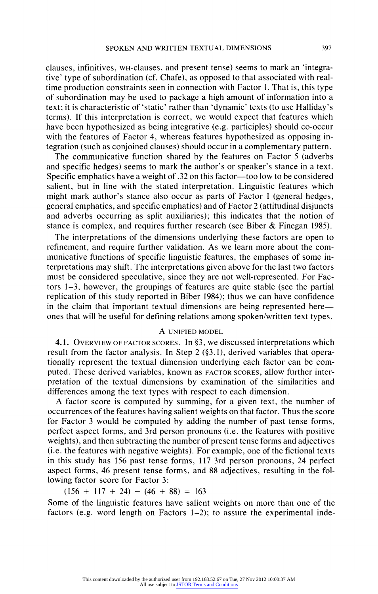**clauses, infinitives, wH-clauses, and present tense) seems to mark an 'integrative' type of subordination (cf. Chafe), as opposed to that associated with realtime production constraints seen in connection with Factor 1. That is, this type of subordination may be used to package a high amount of information into a text; it is characteristic of 'static' rather than 'dynamic' texts (to use Halliday's terms). If this interpretation is correct, we would expect that features which have been hypothesized as being integrative (e.g. participles) should co-occur with the features of Factor 4, whereas features hypothesized as opposing integration (such as conjoined clauses) should occur in a complementary pattern.** 

**The communicative function shared by the features on Factor 5 (adverbs and specific hedges) seems to mark the author's or speaker's stance in a text. Specific emphatics have a weight of .32 on this factor-too low to be considered salient, but in line with the stated interpretation. Linguistic features which might mark author's stance also occur as parts of Factor 1 (general hedges, general emphatics, and specific emphatics) and of Factor 2 (attitudinal disjuncts and adverbs occurring as split auxiliaries); this indicates that the notion of stance is complex, and requires further research (see Biber & Finegan 1985).** 

**The interpretations of the dimensions underlying these factors are open to refinement, and require further validation. As we learn more about the communicative functions of specific linguistic features, the emphases of some interpretations may shift. The interpretations given above for the last two factors must be considered speculative, since they are not well-represented. For Factors 1-3, however, the groupings of features are quite stable (see the partial replication of this study reported in Biber 1984); thus we can have confidence**  in the claim that important textual dimensions are being represented here **ones that will be useful for defining relations among spoken/written text types.** 

## **A UNIFIED MODEL**

**4.1. OVERVIEW OF FACTOR SCORES. In ?3, we discussed interpretations which**  result from the factor analysis. In Step 2 (§3.1), derived variables that opera**tionally represent the textual dimension underlying each factor can be computed. These derived variables, known as FACTOR SCORES, allow further interpretation of the textual dimensions by examination of the similarities and differences among the text types with respect to each dimension.** 

**A factor score is computed by summing, for a given text, the number of occurrences of the features having salient weights on that factor. Thus the score for Factor 3 would be computed by adding the number of past tense forms, perfect aspect forms, and 3rd person pronouns (i.e. the features with positive weights), and then subtracting the number of present tense forms and adjectives (i.e. the features with negative weights). For example, one of the fictional texts in this study has 156 past tense forms, 117 3rd person pronouns, 24 perfect aspect forms, 46 present tense forms, and 88 adjectives, resulting in the following factor score for Factor 3:** 

 $(156 + 117 + 24) - (46 + 88) = 163$ 

**Some of the linguistic features have salient weights on more than one of the factors (e.g. word length on Factors 1-2); to assure the experimental inde-**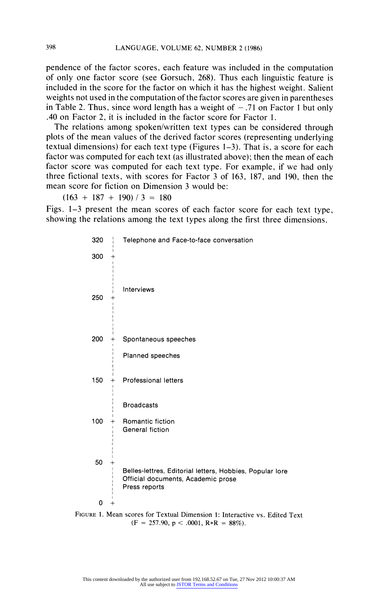**pendence of the factor scores, each feature was included in the computation of only one factor score (see Gorsuch, 268). Thus each linguistic feature is included in the score for the factor on which it has the highest weight. Salient weights not used in the computation of the factor scores are given in parentheses**  in Table 2. Thus, since word length has a weight of  $-$  .71 on Factor 1 but only **.40 on Factor 2, it is included in the factor score for Factor 1.** 

**The relations among spoken/written text types can be considered through plots of the mean values of the derived factor scores (representing underlying textual dimensions) for each text type (Figures 1-3). That is, a score for each factor was computed for each text (as illustrated above); then the mean of each factor score was computed for each text type. For example, if we had only three fictional texts, with scores for Factor 3 of 163, 187, and 190, then the mean score for fiction on Dimension 3 would be:** 

 $(163 + 187 + 190) / 3 = 180$ 

**Figs. 1-3 present the mean scores of each factor score for each text type, showing the relations among the text types along the first three dimensions.** 



**FIGURE 1. Mean scores for Textual Dimension 1: Interactive vs. Edited Text**   $(F = 257.90, p < .0001, R * R = 88\%).$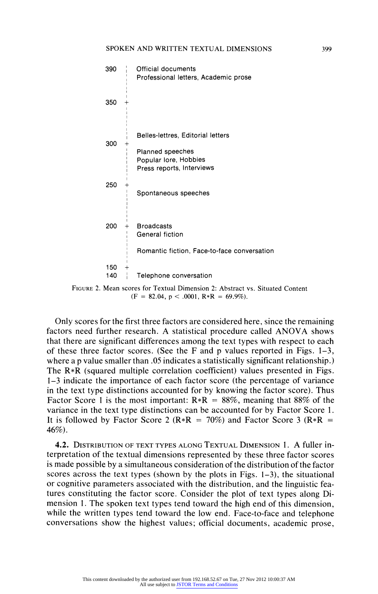

**FIGURE 2. Mean scores for Textual Dimension 2: Abstract vs. Situated Content**   $(F = 82.04, p < .0001, R * R = 69.9\%).$ 

**Only scores for the first three factors are considered here, since the remaining factors need further research. A statistical procedure called ANOVA shows that there are significant differences among the text types with respect to each of these three factor scores. (See the F and p values reported in Figs. 1-3, where a p value smaller than .05 indicates a statistically significant relationship.) The R\*R (squared multiple correlation coefficient) values presented in Figs. 1-3 indicate the importance of each factor score (the percentage of variance in the text type distinctions accounted for by knowing the factor score). Thus Factor Score 1 is the most important: R\*R = 88%, meaning that 88% of the variance in the text type distinctions can be accounted for by Factor Score 1. It is followed by Factor Score 2 (R\*R = 70%) and Factor Score 3 (R\*R = 46%).** 

**4.2. DISTRIBUTION OF TEXT TYPES ALONG TEXTUAL DIMENSION 1. A fuller interpretation of the textual dimensions represented by these three factor scores is made possible by a simultaneous consideration of the distribution of the factor scores across the text types (shown by the plots in Figs. 1-3), the situational or cognitive parameters associated with the distribution, and the linguistic features constituting the factor score. Consider the plot of text types along Dimension 1. The spoken text types tend toward the high end of this dimension, while the written types tend toward the low end. Face-to-face and telephone conversations show the highest values; official documents, academic prose,**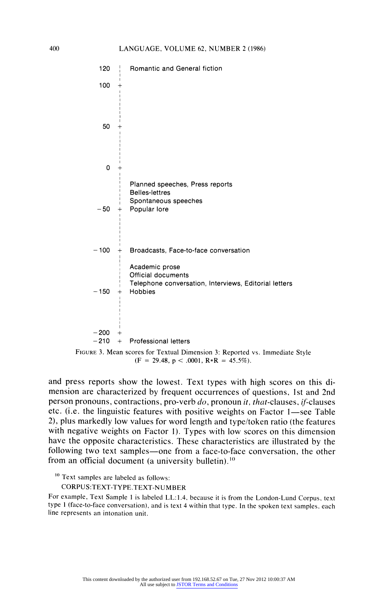

 $(F = 29.48, p < .0001, R * R = 45.5\%).$ 

**and press reports show the lowest. Text types with high scores on this dimension are characterized by frequent occurrences of questions, 1st and 2nd person pronouns, contractions, pro-verb do, pronoun it, that-clauses, if-clauses**  etc. (i.e. the linguistic features with positive weights on Factor 1—see Table **2), plus markedly low values for word length and type/token ratio (the features with negative weights on Factor 1). Types with low scores on this dimension have the opposite characteristics. These characteristics are illustrated by the**  following two text samples—one from a face-to-face conversation, the other **from an official document (a university bulletin).'0** 

**<sup>10</sup>Text samples are labeled as follows:** 

**CORPUS:TEXT-TYPE.TEXT-NUMBER** 

**For example, Text Sample I is labeled LL: 1.4, because it is from the London-Lund Corpus, text type 1 (face-to-face conversation), and is text 4 within that type. In the spoken text samples, each line represents an intonation unit.**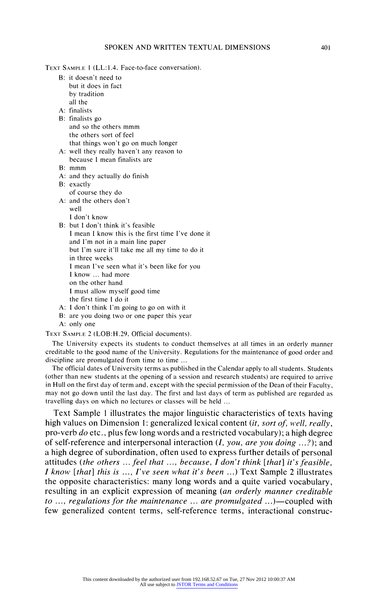TEXT SAMPLE 1 (LL:1.4, Face-to-face conversation).

- **B: it doesn't need to but it does in fact by tradition all the**
- **A: finalists**
- **B: finalists go and so the others mmm the others sort of feel that things won't go on much longer**
- **A: well they really haven't any reason to because I mean finalists are**
- **B: mmm**
- **A: and they actually do finish**
- **B: exactly**
- **of course they do**
- **A: and the others don't well** 
	- **I don't know**
- **B: but I don't think it's feasible** 
	- **I mean I know this is the first time I've done it and I'm not in a main line paper but I'm sure it'll take me all my time to do it in three weeks I mean I've seen what it's been like for you I know ... had more on the other hand** 
		- **I must allow myself good time**
	- **the first time I do it**
- **A: I don't think I'm going to go on with it**
- **B: are you doing two or one paper this year**
- **A: only one**

**TEXT SAMPLE 2 (LOB:H.29, Official documents).** 

**The University expects its students to conduct themselves at all times in an orderly manner creditable to the good name of the University. Regulations for the maintenance of good order and discipline are promulgated from time to time ...** 

**The official dates of University terms as published in the Calendar apply to all students. Students (other than new students at the opening of a session and research students) are required to arrive in Hull on the first day of term and, except with the special permission of the Dean of their Faculty, may not go down until the last day. The first and last days of term as published are regarded as travelling days on which no lectures or classes will be held ...** 

**Text Sample 1 illustrates the major linguistic characteristics of texts having high values on Dimension 1: generalized lexical content (it, sort of, well, really, pro-verb do etc., plus few long words and a restricted vocabulary); a high degree of self-reference and interpersonal interaction (I, you, are you doing ...?); and a high degree of subordination, often used to express further details of personal attitudes (the others ... feel that ..., because, I don't think [that] it's feasible, I know [that] this is ..., I've seen what it's been ...) Text Sample 2 illustrates the opposite characteristics: many long words and a quite varied vocabulary, resulting in an explicit expression of meaning (an orderly manner creditable to ..., regulations for the maintenance ... are promulgated ...)-coupled with few generalized content terms, self-reference terms, interactional construc-**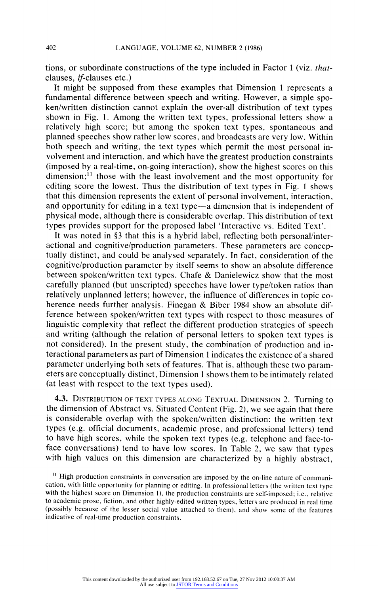**tions, or subordinate constructions of the type included in Factor 1 (viz. thatclauses, if-clauses etc.)** 

**It might be supposed from these examples that Dimension 1 represents a fundamental difference between speech and writing. However, a simple spoken/written distinction cannot explain the over-all distribution of text types shown in Fig. 1. Among the written text types, professional letters show a relatively high score; but among the spoken text types, spontaneous and planned speeches show rather low scores, and broadcasts are very low. Within both speech and writing, the text types which permit the most personal involvement and interaction, and which have the greatest production constraints (imposed by a real-time, on-going interaction), show the highest scores on this**  dimension;<sup>11</sup> those with the least involvement and the most opportunity for **editing score the lowest. Thus the distribution of text types in Fig. 1 shows that this dimension represents the extent of personal involvement, interaction,**  and opportunity for editing in a text type—a dimension that is independent of **physical mode, although there is considerable overlap. This distribution of text types provides support for the proposed label 'Interactive vs. Edited Text'.** 

It was noted in §3 that this is a hybrid label, reflecting both personal/inter**actional and cognitive/production parameters. These parameters are conceptually distinct, and could be analysed separately. In fact, consideration of the cognitive/production parameter by itself seems to show an absolute difference between spoken/written text types. Chafe & Danielewicz show that the most carefully planned (but unscripted) speeches have lower type/token ratios than relatively unplanned letters; however, the influence of differences in topic coherence needs further analysis. Finegan & Biber 1984 show an absolute difference between spoken/written text types with respect to those measures of linguistic complexity that reflect the different production strategies of speech and writing (although the relation of personal letters to spoken text types is not considered). In the present study, the combination of production and interactional parameters as part of Dimension 1 indicates the existence of a shared parameter underlying both sets of features. That is, although these two parameters are conceptually distinct, Dimension 1 shows them to be intimately related (at least with respect to the text types used).** 

**4.3. DISTRIBUTION OF TEXT TYPES ALONG TEXTUAL DIMENSION 2. Turning to the dimension of Abstract vs. Situated Content (Fig. 2), we see again that there is considerable overlap with the spoken/written distinction: the written text types (e.g. official documents, academic prose, and professional letters) tend to have high scores, while the spoken text types (e.g. telephone and face-toface conversations) tend to have low scores. In Table 2, we saw that types with high values on this dimension are characterized by a highly abstract,** 

<sup>&</sup>lt;sup>11</sup> High production constraints in conversation are imposed by the on-line nature of communi**cation, with little opportunity for planning or editing. In professional letters (the written text type with the highest score on Dimension 1), the production constraints are self-imposed; i.e., relative to academic prose, fiction, and other highly-edited written types, letters are produced in real time (possibly because of the lesser social value attached to them), and show some of the features indicative of real-time production constraints.**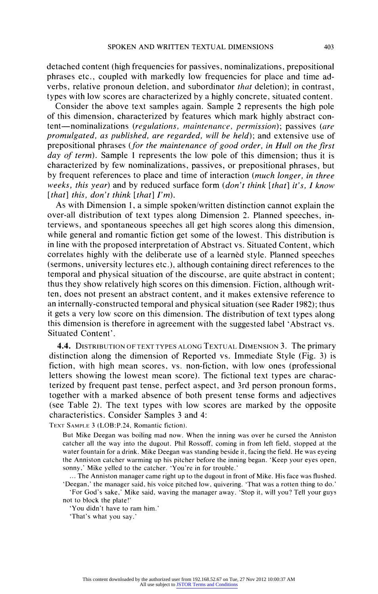**detached content (high frequencies for passives, nominalizations, prepositional phrases etc., coupled with markedly low frequencies for place and time adverbs, relative pronoun deletion, and subordinator that deletion); in contrast, types with low scores are characterized by a highly concrete, situated content.** 

**Consider the above text samples again. Sample 2 represents the high pole of this dimension, characterized by features which mark highly abstract content-nominalizations (regulations, maintenance, permission); passives (are promulgated, as published, are regarded, will be held); and extensive use of prepositional phrases (for the maintenance of good order, in Hull on the first day of term). Sample 1 represents the low pole of this dimension; thus it is characterized by few nominalizations, passives, or prepositional phrases, but by frequent references to place and time of interaction (much longer, in three weeks, this year) and by reduced surface form (don't think [that] it's, I know [that] this, don't think [that] I'm).** 

**As with Dimension 1, a simple spoken/written distinction cannot explain the over-all distribution of text types along Dimension 2. Planned speeches, interviews, and spontaneous speeches all get high scores along this dimension, while general and romantic fiction get some of the lowest. This distribution is in line with the proposed interpretation of Abstract vs. Situated Content, which correlates highly with the deliberate use of a learned style. Planned speeches (sermons, university lectures etc.), although containing direct references to the temporal and physical situation of the discourse, are quite abstract in content; thus they show relatively high scores on this dimension. Fiction, although written, does not present an abstract content, and it makes extensive reference to an internally-constructed temporal and physical situation (see Rader 1982); thus it gets a very low score on this dimension. The distribution of text types along this dimension is therefore in agreement with the suggested label 'Abstract vs. Situated Content'.** 

**4.4. DISTRIBUTION OF TEXT TYPES ALONG TEXTUAL DIMENSION 3. The primary distinction along the dimension of Reported vs. Immediate Style (Fig. 3) is fiction, with high mean scores, vs. non-fiction, with low ones (professional letters showing the lowest mean score). The fictional text types are characterized by frequent past tense, perfect aspect, and 3rd person pronoun forms, together with a marked absence of both present tense forms and adjectives (see Table 2). The text types with low scores are marked by the opposite characteristics. Consider Samples 3 and 4:** 

**TEXT SAMPLE 3 (LOB:P.24, Romantic fiction).** 

**But Mike Deegan was boiling mad now. When the inning was over he cursed the Anniston catcher all the way into the dugout. Phil Rossoff, coming in from left field, stopped at the water fountain for a drink. Mike Deegan was standing beside it, facing the field. He was eyeing the Anniston catcher warming up his pitcher before the inning began. 'Keep your eyes open, sonny,' Mike yelled to the catcher. 'You're in for trouble.'** 

**... The Anniston manager came right up to the dugout in front of Mike. His face was flushed. 'Deegan,' the manager said, his voice pitched low, quivering. 'That was a rotten thing to do.'** 

**'For God's sake,' Mike said, waving the manager away. 'Stop it, will you? Tell your guys not to block the plate!'** 

**'You didn't have to ram him.'** 

**'That's what you say.'**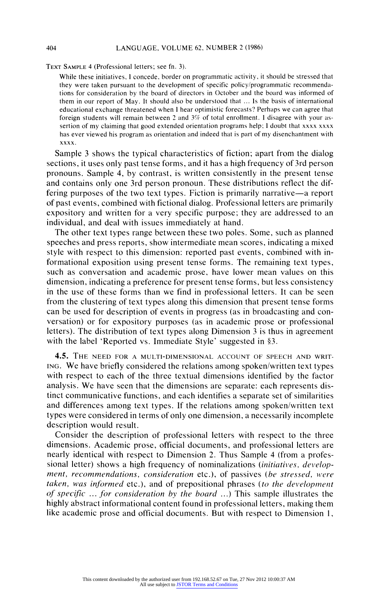**TEXT SAMPLE 4 (Professional letters; see fn. 3).** 

**While these initiatives, I concede, border on programmatic activity, it should be stressed that they were taken pursuant to the development of specific policy/programmatic recommendations for consideration by the board of directors in October and the board was informed of them in our report of May. It should also be understood that ... Is the basis of international educational exchange threatened when 1 hear optimistic forecasts? Perhaps we can agree that foreign students will remain between 2 and 3% of total enrollment. 1 disagree with your assertion of my claiming that good extended orientation programs help; I doubt that xxxx xxxx has ever viewed his program as orientation and indeed that is part of my disenchantment with xxxx.** 

**Sample 3 shows the typical characteristics of fiction; apart from the dialog sections, it uses only past tense forms, and it has a high frequency of 3rd person pronouns. Sample 4, by contrast, is written consistently in the present tense and contains only one 3rd person pronoun. These distributions reflect the differing purposes of the two text types. Fiction is primarily narrative-a report of past events, combined with fictional dialog. Professional letters are primarily expository and written for a very specific purpose; they are addressed to an individual, and deal with issues immediately at hand.** 

**The other text types range between these two poles. Some, such as planned speeches and press reports, show intermediate mean scores, indicating a mixed style with respect to this dimension: reported past events, combined with informational exposition using present tense forms. The remaining text types, such as conversation and academic prose, have lower mean values on this dimension, indicating a preference for present tense forms, but less consistency in the use of these forms than we find in professional letters. It can be seen from the clustering of text types along this dimension that present tense forms can be used for description of events in progress (as in broadcasting and conversation) or for expository purposes (as in academic prose or professional letters). The distribution of text types along Dimension 3 is thus in agreement**  with the label 'Reported vs. Immediate Style' suggested in §3.

**4.5. THE NEED FOR A MULTI-DIMENSIONAL ACCOUNT OF SPEECH AND WRIT-ING. We have briefly considered the relations among spoken/written text types with respect to each of the three textual dimensions identified by the factor analysis. We have seen that the dimensions are separate: each represents distinct communicative functions, and each identifies a separate set of similarities and differences among text types. If the relations among spoken/written text types were considered in terms of only one dimension, a necessarily incomplete description would result.** 

**Consider the description of professional letters with respect to the three dimensions. Academic prose, official documents, and professional letters are nearly identical with respect to Dimension 2. Thus Sample 4 (from a professional letter) shows a high frequency of nominalizations (initiatives, development, recommendations, consideration etc.), of passives (be stressed, were taken, was informed etc.), and of prepositional phrases (to the development of specific ... for consideration by the board ...) This sample illustrates the highly abstract informational content found in professional letters, making them like academic prose and official documents. But with respect to Dimension 1,** 

**404**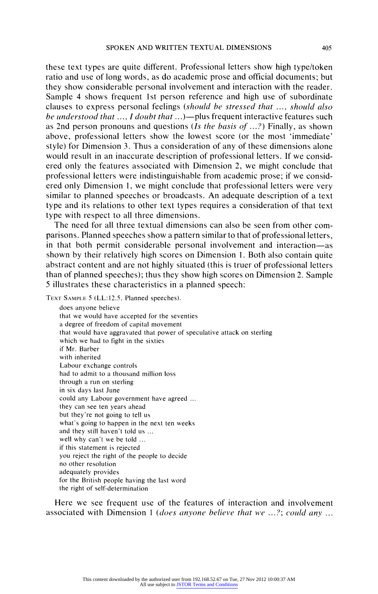**these text types are quite different. Professional letters show high type/token ratio and use of long words, as do academic prose and official documents; but they show considerable personal involvement and interaction with the reader. Sample 4 shows frequent 1st person reference and high use of subordinate clauses to express personal feelings (should be stressed that ..., should also be understood that ..., I doubt that ...)-plus frequent interactive features such as 2nd person pronouns and questions (Is the basis of ...?) Finally, as shown above, professional letters show the lowest score (or the most 'immediate' style) for Dimension 3. Thus a consideration of any of these dimensions alone would result in an inaccurate description of professional letters. If we considered only the features associated with Dimension 2, we might conclude that professional letters were indistinguishable from academic prose; if we considered only Dimension 1, we might conclude that professional letters were very similar to planned speeches or broadcasts. An adequate description of a text type and its relations to other text types requires a consideration of that text type with respect to all three dimensions.** 

**The need for all three textual dimensions can also be seen from other comparisons. Planned speeches show a pattern similar to that of professional letters, in that both permit considerable personal involvement and interaction-as shown by their relatively high scores on Dimension 1. Both also contain quite abstract content and are not highly situated (this is truer of professional letters than of planned speeches); thus they show high scores on Dimension 2. Sample 5 illustrates these characteristics in a planned speech:** 

**TEXT SAMPLE 5 (LL:12.5, Planned speeches).** 

**does anyone believe that we would have accepted for the seventies a degree of freedom of capital movement that would have aggravated that power of speculative attack on sterling which we had to fight in the sixties if Mr. Barber with inherited Labour exchange controls had to admit to a thousand million loss through a run on sterling in six days last June could any Labour government have agreed ... they can see ten years ahead but they're not going to tell us what's going to happen in the next ten weeks and they still haven't told us ... well why can't we be told ... if this statement is rejected you reject the right of the people to decide no other resolution adequately provides for the British people having the last word the right of self-determination** 

**Here we see frequent use of the features of interaction and involvement associated with Dimension 1 (does anyone believe that we ...?; could any ...**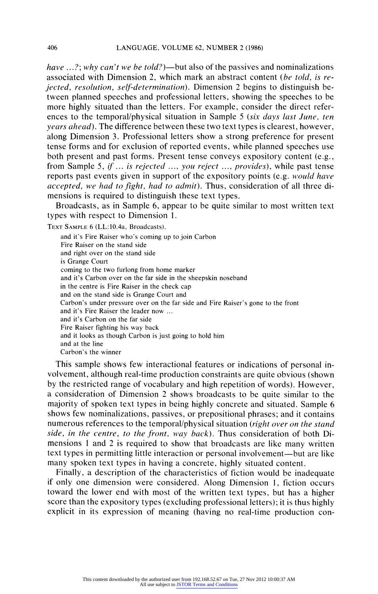have ...?; why can't we be told?)—but also of the passives and nominalizations **associated with Dimension 2, which mark an abstract content (be told, is rejected, resolution, self-determination). Dimension 2 begins to distinguish between planned speeches and professional letters, showing the speeches to be more highly situated than the letters. For example, consider the direct references to the temporal/physical situation in Sample 5 (six days last June, ten years ahead). The difference between these two text types is clearest, however, along Dimension 3. Professional letters show a strong preference for present tense forms and for exclusion of reported events, while planned speeches use both present and past forms. Present tense conveys expository content (e.g., from Sample 5, if ... is rejected ..., you reject ..., provides), while past tense reports past events given in support of the expository points (e.g. would have accepted, we had to fight, had to admit). Thus, consideration of all three dimensions is required to distinguish these text types.** 

**Broadcasts, as in Sample 6, appear to be quite similar to most written text types with respect to Dimension 1.** 

**TEXT SAMPLE 6 (LL:10.4a, Broadcasts).** 

**and it's Fire Raiser who's coming up to join Carbon Fire Raiser on the stand side and right over on the stand side is Grange Court coming to the two furlong from home marker and it's Carbon over on the far side in the sheepskin noseband in the centre is Fire Raiser in the check cap and on the stand side is Grange Court and Carbon's under pressure over on the far side and Fire Raiser's gone to the front and it's Fire Raiser the leader now ... and it's Carbon on the far side Fire Raiser fighting his way back and it looks as though Carbon is just going to hold him and at the line Carbon's the winner** 

**This sample shows few interactional features or indications of personal involvement, although real-time production constraints are quite obvious (shown by the restricted range of vocabulary and high repetition of words). However, a consideration of Dimension 2 shows broadcasts to be quite similar to the majority of spoken text types in being highly concrete and situated. Sample 6 shows few nominalizations, passives, or prepositional phrases; and it contains numerous references to the temporal/physical situation (right over on the stand side, in the centre, to the front, way back). Thus consideration of both Dimensions 1 and 2 is required to show that broadcasts are like many written text types in permitting little interaction or personal involvement-but are like many spoken text types in having a concrete, highly situated content.** 

**Finally, a description of the characteristics of fiction would be inadequate if only one dimension were considered. Along Dimension 1, fiction occurs toward the lower end with most of the written text types, but has a higher score than the expository types (excluding professional letters); it is thus highly explicit in its expression of meaning (having no real-time production con-**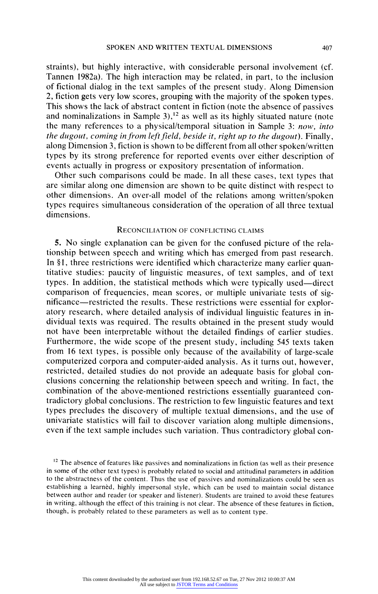**straints), but highly interactive, with considerable personal involvement (cf. Tannen 1982a). The high interaction may be related, in part, to the inclusion of fictional dialog in the text samples of the present study. Along Dimension 2, fiction gets very low scores, grouping with the majority of the spoken types. This shows the lack of abstract content in fiction (note the absence of passives**  and nominalizations in Sample 3),<sup>12</sup> as well as its highly situated nature (note **the many references to a physical/temporal situation in Sample 3: now, into the dugout, coming in from left field, beside it, right up to the dugout). Finally, along Dimension 3, fiction is shown to be different from all other spoken/written types by its strong preference for reported events over either description of events actually in progress or expository presentation of information.** 

**Other such comparisons could be made. In all these cases, text types that are similar along one dimension are shown to be quite distinct with respect to other dimensions. An over-all model of the relations among written/spoken types requires simultaneous consideration of the operation of all three textual dimensions.** 

#### **RECONCILIATION OF CONFLICTING CLAIMS**

**5. No single explanation can be given for the confused picture of the relationship between speech and writing which has emerged from past research.**  In §1, three restrictions were identified which characterize many earlier quan**titative studies: paucity of linguistic measures, of text samples, and of text types. In addition, the statistical methods which were typically used-direct comparison of frequencies, mean scores, or multiple univariate tests of significance-restricted the results. These restrictions were essential for exploratory research, where detailed analysis of individual linguistic features in individual texts was required. The results obtained in the present study would not have been interpretable without the detailed findings of earlier studies. Furthermore, the wide scope of the present study, including 545 texts taken from 16 text types, is possible only because of the availability of large-scale computerized corpora and computer-aided analysis. As it turns out, however, restricted, detailed studies do not provide an adequate basis for global conclusions concerning the relationship between speech and writing. In fact, the combination of the above-mentioned restrictions essentially guaranteed contradictory global conclusions. The restriction to few linguistic features and text types precludes the discovery of multiple textual dimensions, and the use of univariate statistics will fail to discover variation along multiple dimensions, even if the text sample includes such variation. Thus contradictory global con-**

**12 The absence of features like passives and nominalizations in fiction (as well as their presence in some of the other text types) is probably related to social and attitudinal parameters in addition to the abstractness of the content. Thus the use of passives and nominalizations could be seen as establishing a learned, highly impersonal style, which can be used to maintain social distance between author and reader (or speaker and listener). Students are trained to avoid these features in writing, although the effect of this training is not clear. The absence of these features in fiction, though, is probably related to these parameters as well as to content type.**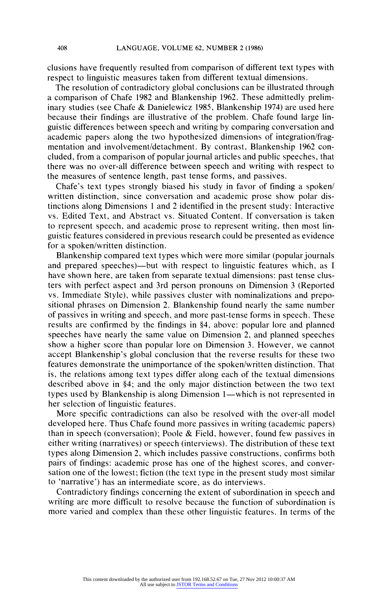**elusions have frequently resulted from comparison of different text types with respect to linguistic measures taken from different textual dimensions.** 

**The resolution of contradictory global conclusions can be illustrated through a comparison of Chafe 1982 and Blankenship 1962. These admittedly preliminary studies (see Chafe & Danielewicz 1985, Blankenship 1974) are used here because their findings are illustrative of the problem. Chafe found large linguistic differences between speech and writing by comparing conversation and academic papers along the two hypothesized dimensions of integration/fragmentation and involvement/detachment. By contrast, Blankenship 1962 concluded, from a comparison of popular journal articles and public speeches, that there was no over-all difference between speech and writing with respect to the measures of sentence length, past tense forms, and passives.** 

**Chafe's text types strongly biased his study in favor of finding a spoken/ written distinction, since conversation and academic prose show polar distinctions along Dimensions 1 and 2 identified in the present study: Interactive vs. Edited Text, and Abstract vs. Situated Content. If conversation is taken to represent speech, and academic prose to represent writing, then most linguistic features considered in previous research could be presented as evidence for a spoken/written distinction.** 

**Blankenship compared text types which were more similar (popular journals**  and prepared speeches)—but with respect to linguistic features which, as I **have shown here, are taken from separate textual dimensions: past tense clusters with perfect aspect and 3rd person pronouns on Dimension 3 (Reported vs. Immediate Style), while passives cluster with nominalizations and prepositional phrases on Dimension 2. Blankenship found nearly the same number of passives in writing and speech, and more past-tense forms in speech. These results are confirmed by the findings in ?4, above: popular lore and planned speeches have nearly the same value on Dimension 2, and planned speeches show a higher score than popular lore on Dimension 3. However, we cannot accept Blankenship's global conclusion that the reverse results for these two features demonstrate the unimportance of the spoken/written distinction. That is, the relations among text types differ along each of the textual dimensions**  described above in §4; and the only major distinction between the two text **types used by Blankenship is along Dimension 1—which is not represented in her selection of linguistic features.** 

**More specific contradictions can also be resolved with the over-all model developed here. Thus Chafe found more passives in writing (academic papers) than in speech (conversation); Poole & Field, however, found few passives in either writing (narratives) or speech (interviews). The distribution of these text types along Dimension 2, which includes passive constructions, confirms both pairs of findings: academic prose has one of the highest scores, and conversation one of the lowest; fiction (the text type in the present study most similar to 'narrative') has an intermediate score, as do interviews.** 

**Contradictory findings concerning the extent of subordination in speech and writing are more difficult to resolve because the function of subordination is more varied and complex than these other linguistic features. In terms of the**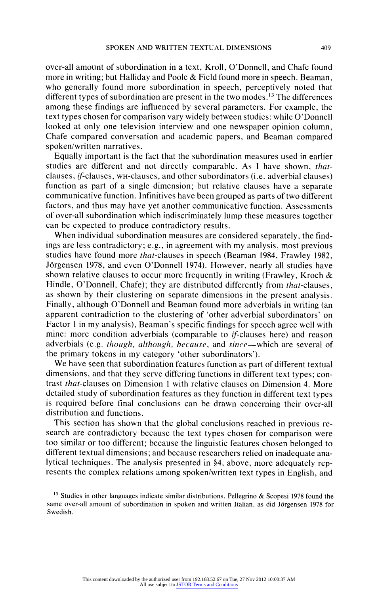**over-all amount of subordination in a text, Kroll, O'Donnell, and Chafe found more in writing; but Halliday and Poole & Field found more in speech. Beaman, who generally found more subordination in speech, perceptively noted that different types of subordination are present in the two modes.'3 The differences among these findings are influenced by several parameters. For example, the text types chosen for comparison vary widely between studies: while O'Donnell looked at only one television interview and one newspaper opinion column, Chafe compared conversation and academic papers, and Beaman compared spoken/written narratives.** 

**Equally important is the fact that the subordination measures used in earlier studies are different and not directly comparable. As I have shown, thatclauses, if-clauses, wH-clauses, and other subordinators (i.e. adverbial clauses) function as part of a single dimension; but relative clauses have a separate communicative function. Infinitives have been grouped as parts of two different factors, and thus may have yet another communicative function. Assessments of over-all subordination which indiscriminately lump these measures together can be expected to produce contradictory results.** 

**When individual subordination measures are considered separately, the findings are less contradictory; e.g., in agreement with my analysis, most previous studies have found more that-clauses in speech (Beaman 1984, Frawley 1982, Jorgensen 1978, and even O'Donnell 1974). However, nearly all studies have shown relative clauses to occur more frequently in writing (Frawley, Kroch & Hindle, O'Donnell, Chafe); they are distributed differently from that-clauses, as shown by their clustering on separate dimensions in the present analysis. Finally, although O'Donnell and Beaman found more adverbials in writing (an apparent contradiction to the clustering of 'other adverbial subordinators' on Factor 1 in my analysis), Beaman's specific findings for speech agree well with mine: more condition adverbials (comparable to if-clauses here) and reason adverbials (e.g. though, although, because, and since-which are several of the primary tokens in my category 'other subordinators').** 

**We have seen that subordination features function as part of different textual dimensions, and that they serve differing functions in different text types; contrast that-clauses on Dimension 1 with relative clauses on Dimension 4. More detailed study of subordination features as they function in different text types is required before final conclusions can be drawn concerning their over-all distribution and functions.** 

**This section has shown that the global conclusions reached in previous research are contradictory because the text types chosen for comparison were too similar or too different; because the linguistic features chosen belonged to different textual dimensions; and because researchers relied on inadequate ana**lytical techniques. The analysis presented in §4, above, more adequately rep**resents the complex relations among spoken/written text types in English, and** 

**<sup>13</sup>Studies in other languages indicate similar distributions. Pellegrino & Scopesi 1978 found the**  same over-all amount of subordination in spoken and written Italian, as did Jörgensen 1978 for **Swedish.**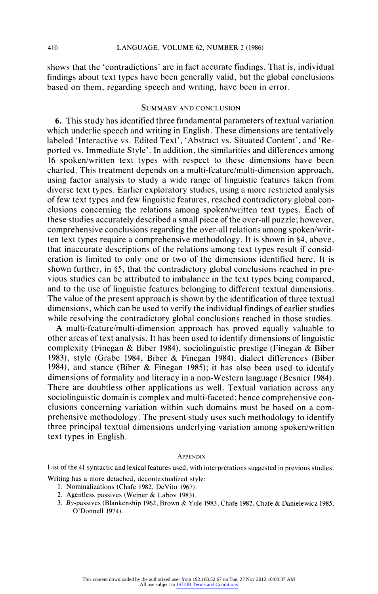**shows that the 'contradictions' are in fact accurate findings. That is, individual findings about text types have been generally valid, but the global conclusions based on them, regarding speech and writing, have been in error.** 

#### **SUMMARY AND CONCLUSION**

**6. This study has identified three fundamental parameters of textual variation which underlie speech and writing in English. These dimensions are tentatively labeled 'Interactive vs. Edited Text', 'Abstract vs. Situated Content', and 'Reported vs. Immediate Style'. In addition, the similarities and differences among 16 spoken/written text types with respect to these dimensions have been charted. This treatment depends on a multi-feature/multi-dimension approach, using factor analysis to study a wide range of linguistic features taken from diverse text types. Earlier exploratory studies, using a more restricted analysis of few text types and few linguistic features, reached contradictory global conclusions concerning the relations among spoken/written text types. Each of these studies accurately described a small piece of the over-all puzzle; however, comprehensive conclusions regarding the over-all relations among spoken/written text types require a comprehensive methodology. It is shown in ?4, above, that inaccurate descriptions of the relations among text types result if consideration is limited to only one or two of the dimensions identified here. It is**  shown further, in §5, that the contradictory global conclusions reached in pre**vious studies can be attributed to imbalance in the text types being compared, and to the use of linguistic features belonging to different textual dimensions. The value of the present approach is shown by the identification of three textual dimensions, which can be used to verify the individual findings of earlier studies while resolving the contradictory global conclusions reached in those studies.** 

**A multi-feature/multi-dimension approach has proved equally valuable to other areas of text analysis. It has been used to identify dimensions of linguistic complexity (Finegan & Biber 1984), sociolinguistic prestige (Finegan & Biber 1983), style (Grabe 1984, Biber & Finegan 1984), dialect differences (Biber 1984), and stance (Biber & Finegan 1985); it has also been used to identify dimensions of formality and literacy in a non-Western language (Besnier 1984). There are doubtless other applications as well. Textual variation across any sociolinguistic domain is complex and multi-faceted; hence comprehensive conclusions concerning variation within such domains must be based on a comprehensive methodology. The present study uses such methodology to identify three principal textual dimensions underlying variation among spoken/written text types in English.** 

#### **APPENDIX**

**List of the 41 syntactic and lexical features used, with interpretations suggested in previous studies.** 

**Writing has a more detached, decontextualized style:** 

- **1. Nominalizations (Chafe 1982, DeVito 1967).**
- **2. Agentless passives (Weiner & Labov 1983).**
- **3. By-passives (Blankenship 1962, Brown & Yule 1983, Chafe 1982, Chafe & Danielewicz 1985, O'Donnell 1974).**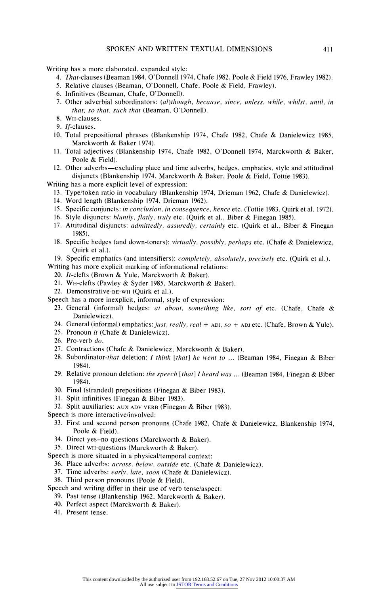**Writing has a more elaborated, expanded style:** 

- **4. That-clauses (Beaman 1984, O'Donnell 1974, Chafe 1982, Poole & Field 1976, Frawley 1982).**
- **5. Relative clauses (Beaman, O'Donnell, Chafe, Poole & Field, Frawley).**
- **6. Infinitives (Beaman, Chafe, O'Donnell).**
- **7. Other adverbial subordinators: (al)though, because, since, unless, while, whilst, until, in that, so that, such that (Beaman, O'Donnell).**
- **8. WH-clauses.**
- **9. If-clauses.**
- **10. Total prepositional phrases (Blankenship 1974, Chafe 1982, Chafe & Danielewicz 1985, Marckworth & Baker 1974).**
- **11. Total adjectives (Blankenship 1974, Chafe 1982, O'Donnell 1974, Marckworth & Baker, Poole & Field).**
- **12. Other adverbs-excluding place and time adverbs, hedges, emphatics, style and attitudinal disjuncts (Blankenship 1974, Marckworth & Baker, Poole & Field, Tottie 1983).**

**Writing has a more explicit level of expression:** 

- **13. Typeltoken ratio in vocabulary (Blankenship 1974, Drieman 1962, Chafe & Danielewicz).**
- **14. Word length (Blankenship 1974, Drieman 1962).**
- **15. Specific conjuncts: in conclusion, in consequence, hence etc. (Tottie 1983, Quirk et al. 1972).**
- **16. Style disjuncts: bluntly, flatly, truly etc. (Quirk et al., Biber & Finegan 1985).**
- **17. Attitudinal disjuncts: admittedly, assuredly, certainly etc. (Quirk et al., Biber & Finegan 1985).**
- **18. Specific hedges (and down-toners): virtually, possibly, perhaps etc. (Chafe & Danielewicz, Quirk et al.).**

**19. Specific emphatics (and intensifiers): completely, absolutely, precisely etc. (Quirk et al.). Writing has more explicit marking of informational relations:** 

- **20. It-clefts (Brown & Yule, Marckworth & Baker).**
- **21. WH-clefts (Pawley & Syder 1985, Marckworth & Baker).**
- **22. Demonstrative-BE-wH (Quirk et al.).**

**Speech has a more inexplicit, informal, style of expression:** 

- **23. General (informal) hedges: at about, something like, sort of etc. (Chafe, Chafe & Danielewicz).**
- **24. General (informal) emphatics: just, really, real + ADJ, so + ADJ etc. (Chafe, Brown & Yule).**
- **25. Pronoun it (Chafe & Danielewicz).**
- **26. Pro-verb do.**
- **27. Contractions (Chafe & Danielewicz, Marckworth & Baker).**
- **28. Subordinator-that deletion: I think [that] he went to ... (Beaman 1984, Finegan & Biber 1984).**
- **29. Relative pronoun deletion: the speech [that] I heard was ... (Beaman 1984, Finegan & Biber 1984).**
- **30. Final (stranded) prepositions (Finegan & Biber 1983).**
- **31. Split infinitives (Finegan & Biber 1983).**
- **32. Split auxiliaries: AUX ADV VERB (Finegan & Biber 1983).**

**Speech is more interactive/involved:** 

- **33. First and second person pronouns (Chafe 1982, Chafe & Danielewicz, Blankenship 1974, Poole & Field).**
- **34. Direct yes-no questions (Marckworth & Baker).**
- **35. Direct wH-questions (Marckworth & Baker).**

**Speech is more situated in a physical/temporal context:** 

- **36. Place adverbs: across, below, outside etc. (Chafe & Danielewicz).**
- **37. Time adverbs: early, late, soon (Chafe & Danielewicz).**
- **38. Third person pronouns (Poole & Field).**
- **Speech and writing differ in their use of verb tense/aspect:** 
	- **39. Past tense (Blankenship 1962, Marckworth & Baker).**
	- **40. Perfect aspect (Marckworth & Baker).**
	- **41. Present tense.**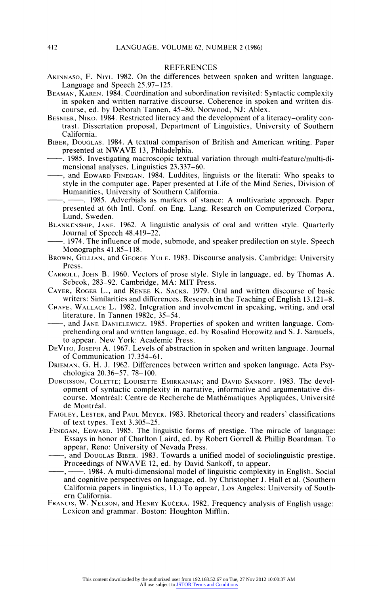#### **REFERENCES**

- **AKINNASO, F. N1YI. 1982. On the differences between spoken and written language. Language and Speech 25.97-125.**
- **BEAMAN, KAREN. 1984. Coordination and subordination revisited: Syntactic complexity in spoken and written narrative discourse. Coherence in spoken and written discourse, ed. by Deborah Tannen, 45-80. Norwood, NJ: Ablex.**
- BESNIER, NIKO. 1984. Restricted literacy and the development of a literacy–orality con**trast. Dissertation proposal, Department of Linguistics, University of Southern California.**
- **BIBER, DOUGLAS. 1984. A textual comparison of British and American writing. Paper presented at NWAVE 13, Philadelphia.**
- **--. 1985. Investigating macroscopic textual variation through multi-feature/multi-dimensional analyses. Linguistics 23.337-60.**
- **--, and EDWARD FINEGAN. 1984. Luddites, linguists or the literati: Who speaks to style in the computer age. Paper presented at Life of the Mind Series, Division of Humanities, University of Southern California.**
- **-- , --. 1985. Adverbials as markers of stance: A multivariate approach. Paper presented at 6th Intl. Conf. on Eng. Lang. Research on Computerized Corpora, Lund, Sweden.**
- **BLANKENSHIP, JANE. 1962. A linguistic analysis of oral and written style. Quarterly Journal of Speech 48.419-22.**
- **. 1974. The influence of mode, submode, and speaker predilection on style. Speech Monographs 41.85-118.**
- **BROWN, GILLIAN, and GEORGE YULE. 1983. Discourse analysis. Cambridge: University Press.**
- **CARROLL, JOHN B. 1960. Vectors of prose style. Style in language, ed. by Thomas A. Sebeok, 283-92. Cambridge, MA: MIT Press.**
- **CAYER, ROGER L., and RENEE K. SACKS. 1979. Oral and written discourse of basic writers: Similarities and differences. Research in the Teaching of English 13.121-8.**
- **CHAFE, WALLACE L. 1982. Integration and involvement in speaking, writing, and oral literature. In Tannen 1982c, 35-54.**
- **, and JANE DANIELEWICZ. 1985. Properties of spoken and written language. Comprehending oral and written language, ed. by Rosalind Horowitz and S. J. Samuels, to appear. New York: Academic Press.**
- **DEVITO, JOSEPH A. 1967. Levels of abstraction in spoken and written language. Journal of Communication 17.354-61.**
- **DRIEMAN, G. H. J. 1962. Differences between written and spoken language. Acta Psychologica 20.36-57, 78-100.**
- **DUBUISSON, COLETTE; LOUISETTE EMIRKANIAN; and DAVID SANKOFF. 1983. The development of syntactic complexity in narrative, informative and argumentative discourse. Montreal: Centre de Recherche de Mathematiques Appliquees, Universite**  de Montréal.
- **FAIGLEY, LESTER, and PAUL MEYER. 1983. Rhetorical theory and readers' classifications of text types. Text 3.305-25.**
- **FINEGAN, EDWARD. 1985. The linguistic forms of prestige. The miracle of language: Essays in honor of Charlton Laird, ed. by Robert Gorrell & Phillip Boardman. To appear, Reno: University of Nevada Press.**
- **, and DOUGLAS BIBER. 1983. Towards a unified model of sociolinguistic prestige. Proceedings of NWAVE 12, ed. by David Sankoff, to appear.**
- -, 1984. A multi-dimensional model of linguistic complexity in English. Social **and cognitive perspectives on language, ed. by Christopher J. Hall et al. (Southern California papers in linguistics, 11.) To appear, Los Angeles: University of Southern California.**
- **FRANCIS, W. NELSON, and HENRY KUCERA. 1982. Frequency analysis of English usage: Lexicon and grammar. Boston: Houghton Mifflin.**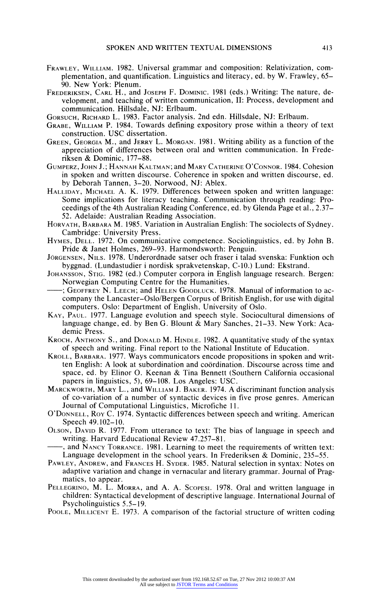- **FRAWLEY, WILLIAM. 1982. Universal grammar and composition: Relativization, complementation, and quantification. Linguistics and literacy, ed. by W. Frawley, 65- 90. New York: Plenum.**
- **FREDERIKSEN, CARL H., and JOSEPH F. DOMINIC. 1981 (eds.) Writing: The nature, development, and teaching of written communication, II: Process, development and communication. Hillsdale, NJ: Erlbaum.**
- **GORSUCH, RICHARD L. 1983. Factor analysis. 2nd edn. Hillsdale, NJ: Erlbaum.**
- **GRABE, WILLIAM P. 1984. Towards defining expository prose within a theory of text construction. USC dissertation.**
- **GREEN, GEORGIA M., and JERRY L. MORGAN. 1981. Writing ability as a function of the appreciation of differences between oral and written communication. In Frederiksen & Dominic, 177-88.**
- **GUMPERZ, JOHN J.; HANNAH KALTMAN; and MARY CATHERINE O'CONNOR. 1984. Cohesion in spoken and written discourse. Coherence in spoken and written discourse, ed. by Deborah Tannen, 3-20. Norwood, NJ: Ablex.**
- **HALLIDAY, MICHAEL A. K. 1979. Differences between spoken and written language: Some implications for literacy teaching. Communication through reading: Proceedings of the 4th Australian Reading Conference, ed. by Glenda Page et al., 2.37- 52. Adelaide: Australian Reading Association.**
- **HORVATH, BARBARA M. 1985. Variation in Australian English: The sociolects of Sydney. Cambridge: University Press.**
- **HYMES, DELL. 1972. On communicative competence. Sociolinguistics, ed. by John B. Pride & Janet Holmes, 269-93. Harmondsworth: Penguin.**
- JÖRGENSEN, NILS. 1978. Underordnade satser och fraser i talad svenska: Funktion och **byggnad. (Lundastudier i nordisk sprakvetenskap, C-10.) Lund: Ekstrand.**
- **JOHANSSON, STIG. 1982 (ed.) Computer corpora in English language research. Bergen: Norwegian Computing Centre for the Humanities.**
- **; GEOFFREY N. LEECH; and HELEN GOODLUCK. 1978. Manual of information to accompany the Lancaster-Oslo/Bergen Corpus of British English, for use with digital computers. Oslo: Department of English, University of Oslo.**
- **KAY, PAUL. 1977. Language evolution and speech style. Sociocultural dimensions of language change, ed. by Ben G. Blount & Mary Sanches, 21-33. New York: Academic Press.**
- **KROCH, ANTHONY S., and DONALD M. H1NDLE. 1982. A quantitative study of the syntax of speech and writing. Final report to the National Institute of Education.**
- **KROLL, BARBARA. 1977. Ways communicators encode propositions in spoken and written English: A look at subordination and coordination. Discourse across time and space, ed. by Elinor 0. Keenan & Tina Bennett (Southern California occasional papers in linguistics, 5), 69-108. Los Angeles: USC.**
- **MARCKWORTH, MARY L., and WILLIAM J.BAKER. 1974. A discriminant function analysis of co-variation of a number of syntactic devices in five prose genres. American Journal of Computational Linguistics, Microfiche 11.**
- **O'DONNELL, ROY C. 1974. Syntactic differences between speech and writing. American Speech 49. 102-10.**
- **OLSON, DAVID R. 1977. From utterance to text: The bias of language in speech and writing. Harvard Educational Review 47.257-81.**
- **--, and NANCY TORRANCE. 1981. Learning to meet the requirements of written text: Language development in the school years. In Frederiksen & Dominic, 235-55.**
- **PAWLEY, ANDREW, and FRANCES H. SYDER. 1985. Natural selection in syntax: Notes on adaptive variation and change in vernacular and literary grammar. Journal of Pragmatics, to appear.**
- **PELLEGRINO, M. L. MORRA, and A. A. SCOPESI. 1978. Oral and written language in children: Syntactical development of descriptive language. International Journal of Psycholinguistics 5.5-19.**
- **POOLE, MILLICENT E. 1973. A comparison of the factorial structure of written coding**